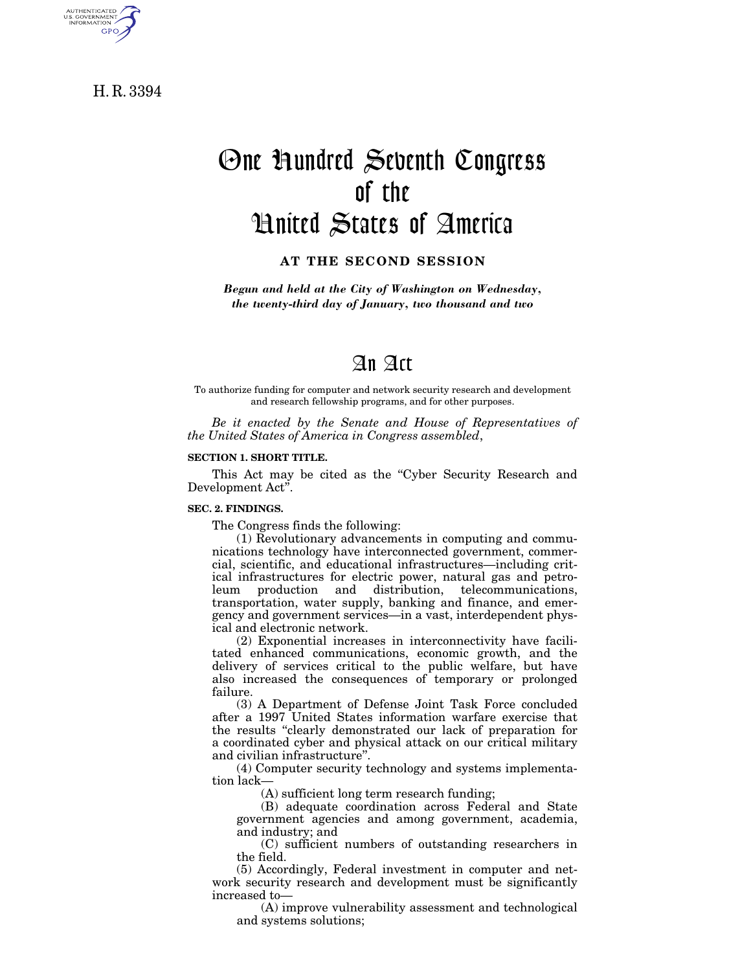H. R. 3394

AUTHENTICATED<br>U.S. GOVERNMENT<br>INFORMATION **GPO** 

# One Hundred Seventh Congress of the United States of America

**AT THE SECOND SESSION**

*Begun and held at the City of Washington on Wednesday, the twenty-third day of January, two thousand and two*

# An Act

To authorize funding for computer and network security research and development and research fellowship programs, and for other purposes.

*Be it enacted by the Senate and House of Representatives of the United States of America in Congress assembled*,

#### **SECTION 1. SHORT TITLE.**

This Act may be cited as the "Cyber Security Research and Development Act''.

#### **SEC. 2. FINDINGS.**

The Congress finds the following:

(1) Revolutionary advancements in computing and communications technology have interconnected government, commercial, scientific, and educational infrastructures—including critical infrastructures for electric power, natural gas and petroleum production and distribution, telecommunications, transportation, water supply, banking and finance, and emergency and government services—in a vast, interdependent physical and electronic network.

(2) Exponential increases in interconnectivity have facilitated enhanced communications, economic growth, and the delivery of services critical to the public welfare, but have also increased the consequences of temporary or prolonged failure.

(3) A Department of Defense Joint Task Force concluded after a 1997 United States information warfare exercise that the results ''clearly demonstrated our lack of preparation for a coordinated cyber and physical attack on our critical military and civilian infrastructure''.

(4) Computer security technology and systems implementation lack—

(A) sufficient long term research funding;

(B) adequate coordination across Federal and State government agencies and among government, academia, and industry; and

(C) sufficient numbers of outstanding researchers in the field.

(5) Accordingly, Federal investment in computer and network security research and development must be significantly increased to—

(A) improve vulnerability assessment and technological and systems solutions;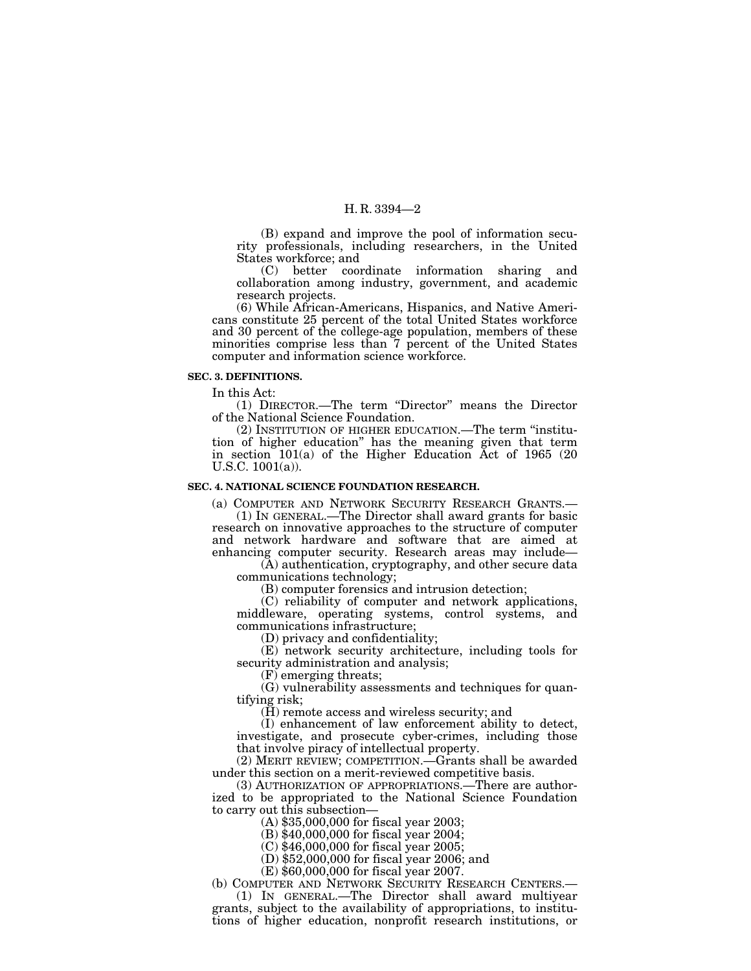(B) expand and improve the pool of information security professionals, including researchers, in the United States workforce; and

(C) better coordinate information sharing and collaboration among industry, government, and academic research projects.

(6) While African-Americans, Hispanics, and Native Americans constitute 25 percent of the total United States workforce and 30 percent of the college-age population, members of these minorities comprise less than 7 percent of the United States computer and information science workforce.

#### **SEC. 3. DEFINITIONS.**

In this Act:

(1) DIRECTOR.—The term ''Director'' means the Director of the National Science Foundation.

(2) INSTITUTION OF HIGHER EDUCATION.—The term ''institution of higher education'' has the meaning given that term in section 101(a) of the Higher Education Act of 1965 (20 U.S.C. 1001(a)).

#### **SEC. 4. NATIONAL SCIENCE FOUNDATION RESEARCH.**

(a) COMPUTER AND NETWORK SECURITY RESEARCH GRANTS.—

(1) IN GENERAL.—The Director shall award grants for basic research on innovative approaches to the structure of computer and network hardware and software that are aimed at enhancing computer security. Research areas may include—

(A) authentication, cryptography, and other secure data communications technology;

(B) computer forensics and intrusion detection;

(C) reliability of computer and network applications, middleware, operating systems, control systems, and communications infrastructure;

(D) privacy and confidentiality;

(E) network security architecture, including tools for security administration and analysis;

(F) emerging threats;

(G) vulnerability assessments and techniques for quantifying risk;

(H) remote access and wireless security; and

(I) enhancement of law enforcement ability to detect, investigate, and prosecute cyber-crimes, including those that involve piracy of intellectual property.

(2) MERIT REVIEW; COMPETITION.—Grants shall be awarded under this section on a merit-reviewed competitive basis.

(3) AUTHORIZATION OF APPROPRIATIONS.—There are authorized to be appropriated to the National Science Foundation to carry out this subsection—

(A) \$35,000,000 for fiscal year 2003;

(B) \$40,000,000 for fiscal year 2004;

(C) \$46,000,000 for fiscal year 2005;

(D) \$52,000,000 for fiscal year 2006; and

(E) \$60,000,000 for fiscal year 2007.

(b) COMPUTER AND NETWORK SECURITY RESEARCH CENTERS.—

(1) IN GENERAL.—The Director shall award multiyear grants, subject to the availability of appropriations, to institutions of higher education, nonprofit research institutions, or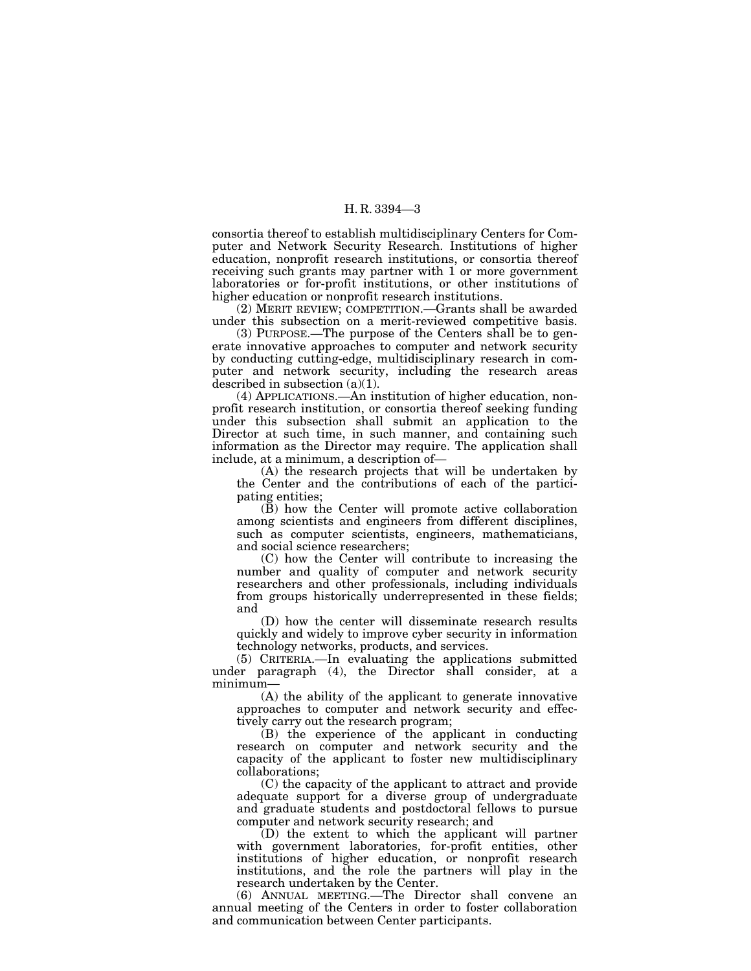consortia thereof to establish multidisciplinary Centers for Computer and Network Security Research. Institutions of higher education, nonprofit research institutions, or consortia thereof receiving such grants may partner with 1 or more government laboratories or for-profit institutions, or other institutions of higher education or nonprofit research institutions.

(2) MERIT REVIEW; COMPETITION.—Grants shall be awarded under this subsection on a merit-reviewed competitive basis.

(3) PURPOSE.—The purpose of the Centers shall be to generate innovative approaches to computer and network security by conducting cutting-edge, multidisciplinary research in computer and network security, including the research areas described in subsection (a)(1).

(4) APPLICATIONS.—An institution of higher education, nonprofit research institution, or consortia thereof seeking funding under this subsection shall submit an application to the Director at such time, in such manner, and containing such information as the Director may require. The application shall include, at a minimum, a description of—

(A) the research projects that will be undertaken by the Center and the contributions of each of the participating entities;

(B) how the Center will promote active collaboration among scientists and engineers from different disciplines, such as computer scientists, engineers, mathematicians, and social science researchers;

(C) how the Center will contribute to increasing the number and quality of computer and network security researchers and other professionals, including individuals from groups historically underrepresented in these fields; and

(D) how the center will disseminate research results quickly and widely to improve cyber security in information technology networks, products, and services.

(5) CRITERIA.—In evaluating the applications submitted under paragraph (4), the Director shall consider, at a minimum—

(A) the ability of the applicant to generate innovative approaches to computer and network security and effectively carry out the research program;

(B) the experience of the applicant in conducting research on computer and network security and the capacity of the applicant to foster new multidisciplinary collaborations;

(C) the capacity of the applicant to attract and provide adequate support for a diverse group of undergraduate and graduate students and postdoctoral fellows to pursue computer and network security research; and

(D) the extent to which the applicant will partner with government laboratories, for-profit entities, other institutions of higher education, or nonprofit research institutions, and the role the partners will play in the research undertaken by the Center.

(6) ANNUAL MEETING.—The Director shall convene an annual meeting of the Centers in order to foster collaboration and communication between Center participants.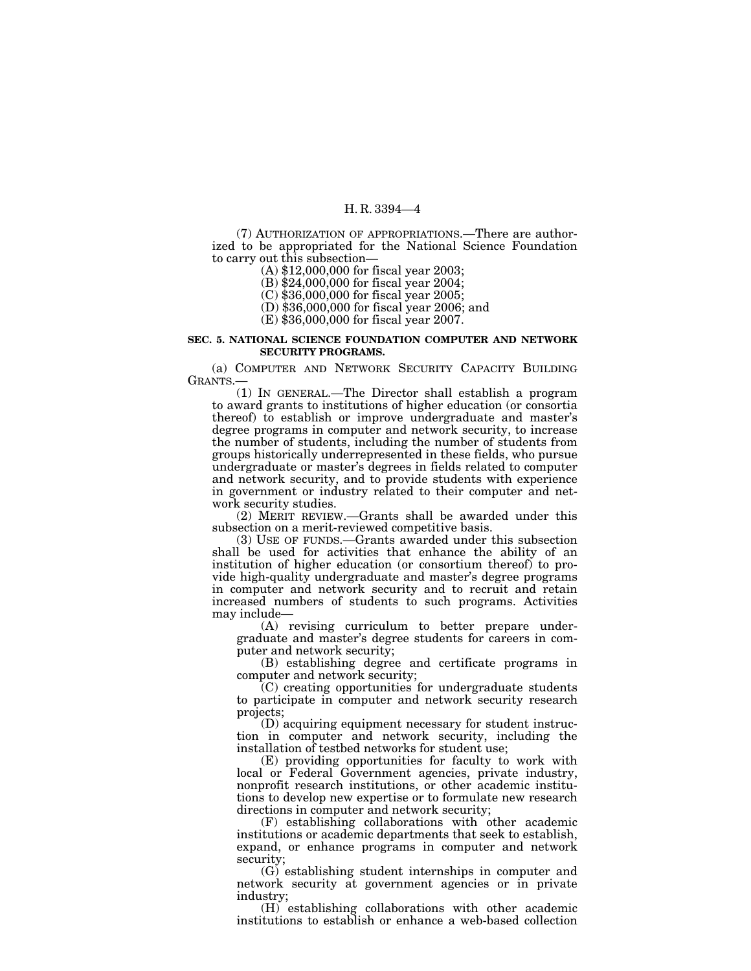(7) AUTHORIZATION OF APPROPRIATIONS.—There are authorized to be appropriated for the National Science Foundation to carry out this subsection—

(A) \$12,000,000 for fiscal year 2003;

(B) \$24,000,000 for fiscal year 2004;

(C) \$36,000,000 for fiscal year 2005;

(D) \$36,000,000 for fiscal year 2006; and

(E) \$36,000,000 for fiscal year 2007.

#### **SEC. 5. NATIONAL SCIENCE FOUNDATION COMPUTER AND NETWORK SECURITY PROGRAMS.**

(a) COMPUTER AND NETWORK SECURITY CAPACITY BUILDING GRANTS.—

(1) IN GENERAL.—The Director shall establish a program to award grants to institutions of higher education (or consortia thereof) to establish or improve undergraduate and master's degree programs in computer and network security, to increase the number of students, including the number of students from groups historically underrepresented in these fields, who pursue undergraduate or master's degrees in fields related to computer and network security, and to provide students with experience in government or industry related to their computer and network security studies.

(2) MERIT REVIEW.—Grants shall be awarded under this subsection on a merit-reviewed competitive basis.

(3) USE OF FUNDS.—Grants awarded under this subsection shall be used for activities that enhance the ability of an institution of higher education (or consortium thereof) to provide high-quality undergraduate and master's degree programs in computer and network security and to recruit and retain increased numbers of students to such programs. Activities may include—

(A) revising curriculum to better prepare undergraduate and master's degree students for careers in computer and network security;

(B) establishing degree and certificate programs in computer and network security;

(C) creating opportunities for undergraduate students to participate in computer and network security research projects;

(D) acquiring equipment necessary for student instruction in computer and network security, including the installation of testbed networks for student use;

(E) providing opportunities for faculty to work with local or Federal Government agencies, private industry, nonprofit research institutions, or other academic institutions to develop new expertise or to formulate new research directions in computer and network security;

(F) establishing collaborations with other academic institutions or academic departments that seek to establish, expand, or enhance programs in computer and network security;

(G) establishing student internships in computer and network security at government agencies or in private industry;

(H) establishing collaborations with other academic institutions to establish or enhance a web-based collection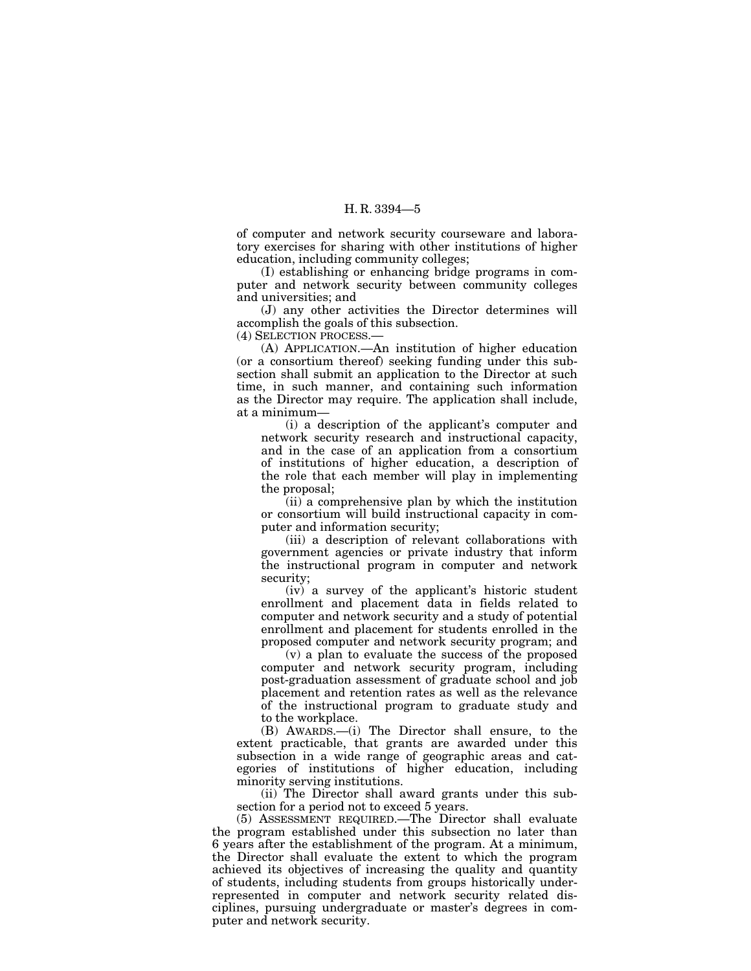of computer and network security courseware and laboratory exercises for sharing with other institutions of higher education, including community colleges;

(I) establishing or enhancing bridge programs in computer and network security between community colleges and universities; and

(J) any other activities the Director determines will accomplish the goals of this subsection.

(4) SELECTION PROCESS.—

(A) APPLICATION.—An institution of higher education (or a consortium thereof) seeking funding under this subsection shall submit an application to the Director at such time, in such manner, and containing such information as the Director may require. The application shall include, at a minimum—

(i) a description of the applicant's computer and network security research and instructional capacity, and in the case of an application from a consortium of institutions of higher education, a description of the role that each member will play in implementing the proposal;

(ii) a comprehensive plan by which the institution or consortium will build instructional capacity in computer and information security;

(iii) a description of relevant collaborations with government agencies or private industry that inform the instructional program in computer and network security;

(iv) a survey of the applicant's historic student enrollment and placement data in fields related to computer and network security and a study of potential enrollment and placement for students enrolled in the proposed computer and network security program; and

(v) a plan to evaluate the success of the proposed computer and network security program, including post-graduation assessment of graduate school and job placement and retention rates as well as the relevance of the instructional program to graduate study and to the workplace.

(B) AWARDS.—(i) The Director shall ensure, to the extent practicable, that grants are awarded under this subsection in a wide range of geographic areas and categories of institutions of higher education, including minority serving institutions.

(ii) The Director shall award grants under this subsection for a period not to exceed 5 years.

(5) ASSESSMENT REQUIRED.—The Director shall evaluate the program established under this subsection no later than 6 years after the establishment of the program. At a minimum, the Director shall evaluate the extent to which the program achieved its objectives of increasing the quality and quantity of students, including students from groups historically underrepresented in computer and network security related disciplines, pursuing undergraduate or master's degrees in computer and network security.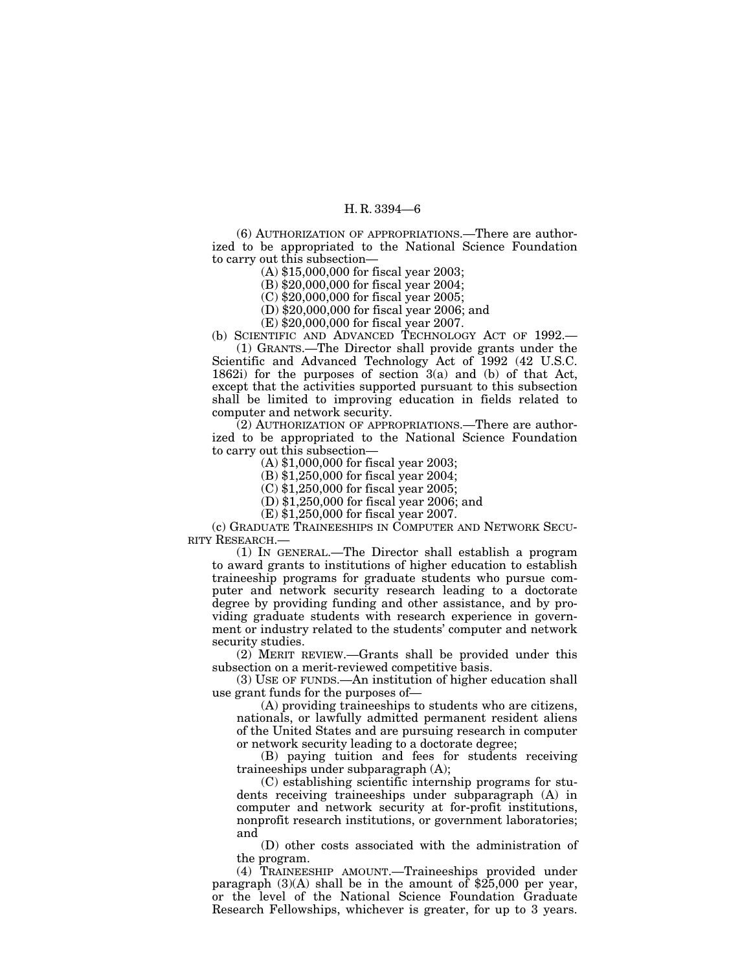(6) AUTHORIZATION OF APPROPRIATIONS.—There are authorized to be appropriated to the National Science Foundation to carry out this subsection—

(A) \$15,000,000 for fiscal year 2003;

(B) \$20,000,000 for fiscal year 2004;

(C) \$20,000,000 for fiscal year 2005;

(D) \$20,000,000 for fiscal year 2006; and

(E) \$20,000,000 for fiscal year 2007.

(b) SCIENTIFIC AND ADVANCED TECHNOLOGY ACT OF 1992. (1) GRANTS.—The Director shall provide grants under the

Scientific and Advanced Technology Act of 1992 (42 U.S.C. 1862i) for the purposes of section 3(a) and (b) of that Act, except that the activities supported pursuant to this subsection shall be limited to improving education in fields related to computer and network security.

(2) AUTHORIZATION OF APPROPRIATIONS.—There are authorized to be appropriated to the National Science Foundation to carry out this subsection—

(A) \$1,000,000 for fiscal year 2003;

(B) \$1,250,000 for fiscal year 2004;

(C) \$1,250,000 for fiscal year 2005;

(D) \$1,250,000 for fiscal year 2006; and

(E) \$1,250,000 for fiscal year 2007.

(c) GRADUATE TRAINEESHIPS IN COMPUTER AND NETWORK SECU-RITY RESEARCH.—

(1) IN GENERAL.—The Director shall establish a program to award grants to institutions of higher education to establish traineeship programs for graduate students who pursue computer and network security research leading to a doctorate degree by providing funding and other assistance, and by providing graduate students with research experience in government or industry related to the students' computer and network security studies.

(2) MERIT REVIEW.—Grants shall be provided under this subsection on a merit-reviewed competitive basis.

(3) USE OF FUNDS.—An institution of higher education shall use grant funds for the purposes of—

(A) providing traineeships to students who are citizens, nationals, or lawfully admitted permanent resident aliens of the United States and are pursuing research in computer or network security leading to a doctorate degree;

(B) paying tuition and fees for students receiving traineeships under subparagraph (A);

(C) establishing scientific internship programs for students receiving traineeships under subparagraph (A) in computer and network security at for-profit institutions, nonprofit research institutions, or government laboratories; and

(D) other costs associated with the administration of the program.

(4) TRAINEESHIP AMOUNT.—Traineeships provided under paragraph  $(3)(A)$  shall be in the amount of \$25,000 per year, or the level of the National Science Foundation Graduate Research Fellowships, whichever is greater, for up to 3 years.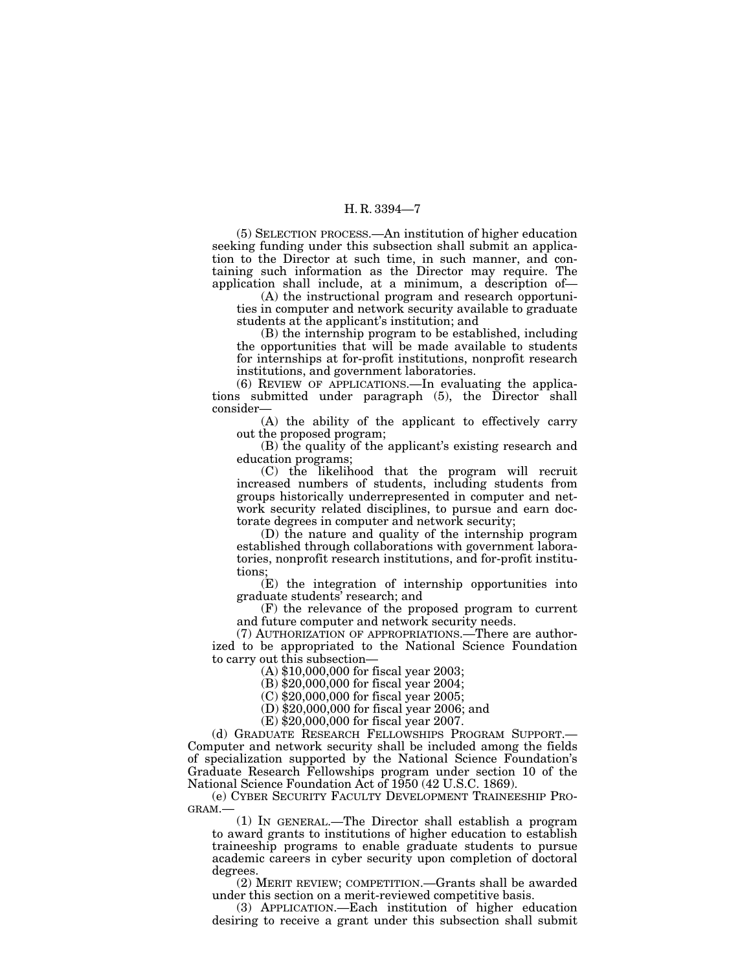(5) SELECTION PROCESS.—An institution of higher education seeking funding under this subsection shall submit an application to the Director at such time, in such manner, and containing such information as the Director may require. The application shall include, at a minimum, a description of—

(A) the instructional program and research opportunities in computer and network security available to graduate students at the applicant's institution; and

(B) the internship program to be established, including the opportunities that will be made available to students for internships at for-profit institutions, nonprofit research institutions, and government laboratories.

(6) REVIEW OF APPLICATIONS.—In evaluating the applications submitted under paragraph (5), the Director shall consider—

(A) the ability of the applicant to effectively carry out the proposed program;

(B) the quality of the applicant's existing research and education programs;

(C) the likelihood that the program will recruit increased numbers of students, including students from groups historically underrepresented in computer and network security related disciplines, to pursue and earn doctorate degrees in computer and network security;

(D) the nature and quality of the internship program established through collaborations with government laboratories, nonprofit research institutions, and for-profit institutions;

(E) the integration of internship opportunities into graduate students' research; and

(F) the relevance of the proposed program to current and future computer and network security needs.

(7) AUTHORIZATION OF APPROPRIATIONS.—There are authorized to be appropriated to the National Science Foundation to carry out this subsection—

(A) \$10,000,000 for fiscal year 2003;

(B) \$20,000,000 for fiscal year 2004;

(C) \$20,000,000 for fiscal year 2005;

(D) \$20,000,000 for fiscal year 2006; and

(E) \$20,000,000 for fiscal year 2007.

(d) GRADUATE RESEARCH FELLOWSHIPS PROGRAM SUPPORT.— Computer and network security shall be included among the fields of specialization supported by the National Science Foundation's Graduate Research Fellowships program under section 10 of the National Science Foundation Act of 1950 (42 U.S.C. 1869).

(e) CYBER SECURITY FACULTY DEVELOPMENT TRAINEESHIP PRO-GRAM.—

(1) IN GENERAL.—The Director shall establish a program to award grants to institutions of higher education to establish traineeship programs to enable graduate students to pursue academic careers in cyber security upon completion of doctoral degrees.

(2) MERIT REVIEW; COMPETITION.—Grants shall be awarded under this section on a merit-reviewed competitive basis.

(3) APPLICATION.—Each institution of higher education desiring to receive a grant under this subsection shall submit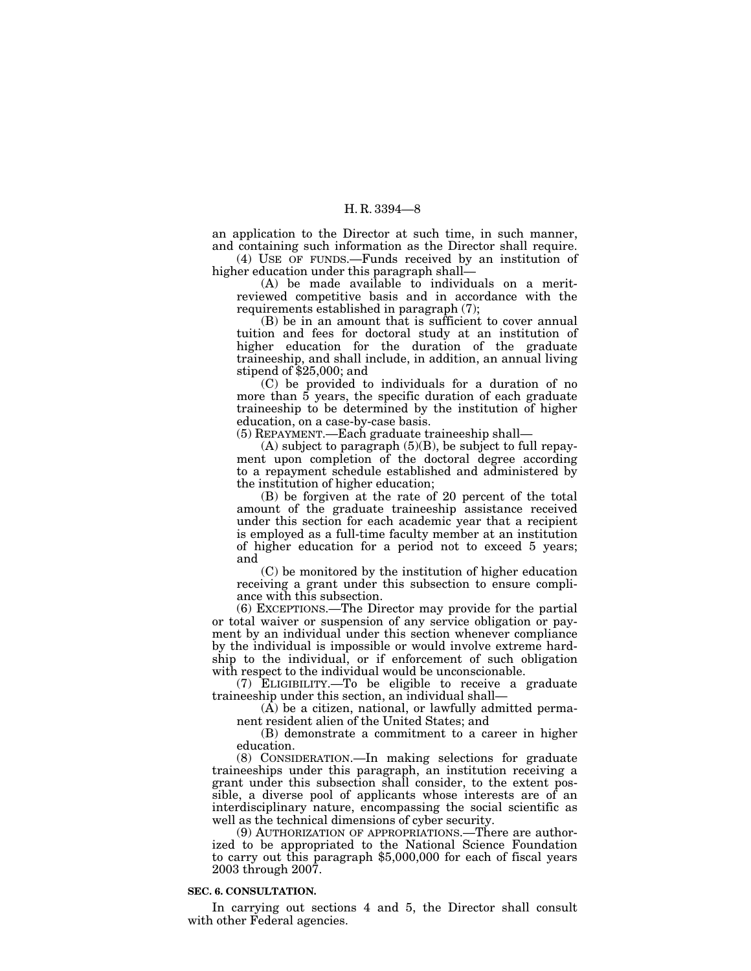an application to the Director at such time, in such manner, and containing such information as the Director shall require.

(4) USE OF FUNDS.—Funds received by an institution of higher education under this paragraph shall—

(A) be made available to individuals on a meritreviewed competitive basis and in accordance with the requirements established in paragraph (7);

(B) be in an amount that is sufficient to cover annual tuition and fees for doctoral study at an institution of higher education for the duration of the graduate traineeship, and shall include, in addition, an annual living stipend of \$25,000; and

(C) be provided to individuals for a duration of no more than  $\tilde{5}$  years, the specific duration of each graduate traineeship to be determined by the institution of higher education, on a case-by-case basis.

(5) REPAYMENT.—Each graduate traineeship shall—

 $(A)$  subject to paragraph  $(5)(B)$ , be subject to full repayment upon completion of the doctoral degree according to a repayment schedule established and administered by the institution of higher education;

(B) be forgiven at the rate of 20 percent of the total amount of the graduate traineeship assistance received under this section for each academic year that a recipient is employed as a full-time faculty member at an institution of higher education for a period not to exceed 5 years; and

(C) be monitored by the institution of higher education receiving a grant under this subsection to ensure compliance with this subsection.

(6) EXCEPTIONS.—The Director may provide for the partial or total waiver or suspension of any service obligation or payment by an individual under this section whenever compliance by the individual is impossible or would involve extreme hardship to the individual, or if enforcement of such obligation with respect to the individual would be unconscionable.

(7) ELIGIBILITY.—To be eligible to receive a graduate traineeship under this section, an individual shall—

 $(A)$  be a citizen, national, or lawfully admitted permanent resident alien of the United States; and

(B) demonstrate a commitment to a career in higher education.

(8) CONSIDERATION.—In making selections for graduate traineeships under this paragraph, an institution receiving a grant under this subsection shall consider, to the extent possible, a diverse pool of applicants whose interests are of an interdisciplinary nature, encompassing the social scientific as well as the technical dimensions of cyber security.

(9) AUTHORIZATION OF APPROPRIATIONS.—There are authorized to be appropriated to the National Science Foundation to carry out this paragraph \$5,000,000 for each of fiscal years 2003 through 2007.

#### **SEC. 6. CONSULTATION.**

In carrying out sections 4 and 5, the Director shall consult with other Federal agencies.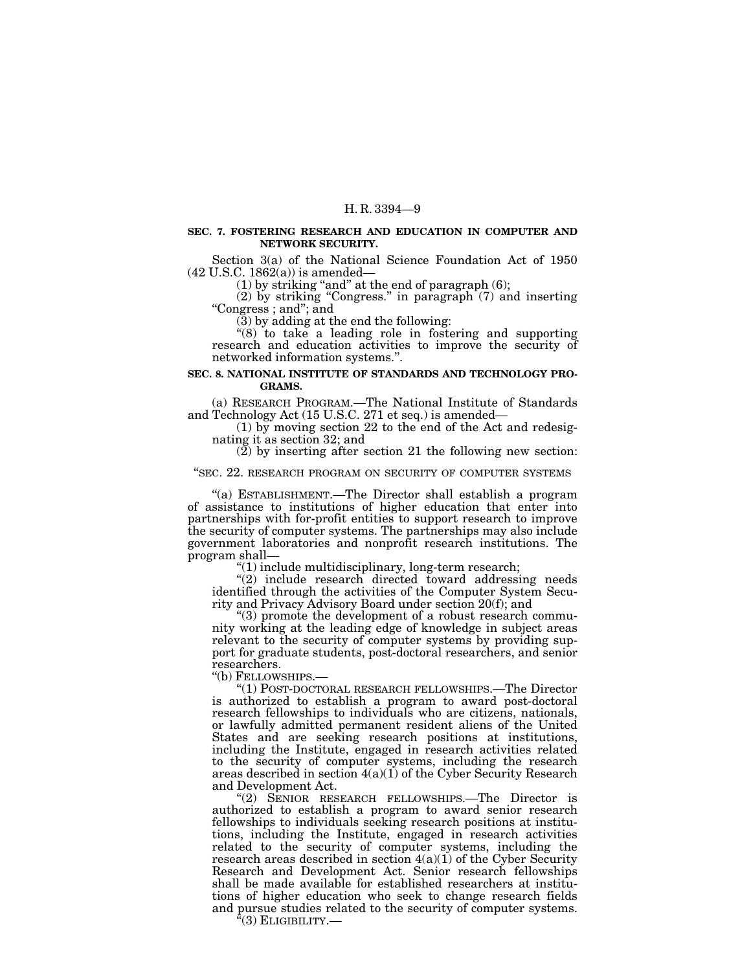#### **SEC. 7. FOSTERING RESEARCH AND EDUCATION IN COMPUTER AND NETWORK SECURITY.**

Section 3(a) of the National Science Foundation Act of 1950 (42 U.S.C. 1862(a)) is amended—  $(42 \, \mathrm{U.S.C.} \, 1862(\mathrm{a}))$  is amended—  $(1)$  by striking "and" at the end of paragraph (6);

(2) by striking "Congress." in paragraph  $(7)$  and inserting "Congress; and"; and

(3) by adding at the end the following:

''(8) to take a leading role in fostering and supporting research and education activities to improve the security of networked information systems.''.

#### **SEC. 8. NATIONAL INSTITUTE OF STANDARDS AND TECHNOLOGY PRO-GRAMS.**

(a) RESEARCH PROGRAM.—The National Institute of Standards

and Technology Act (15 U.S.C. 271 et seq.) is amended— (1) by moving section 22 to the end of the Act and redesignating it as section 32; and

 $(2)$  by inserting after section 21 the following new section:

#### "SEC. 22. RESEARCH PROGRAM ON SECURITY OF COMPUTER SYSTEMS

''(a) ESTABLISHMENT.—The Director shall establish a program of assistance to institutions of higher education that enter into partnerships with for-profit entities to support research to improve the security of computer systems. The partnerships may also include government laboratories and nonprofit research institutions. The program shall—<br>"(1) include multidisciplinary, long-term research;

 $''(2)$  include research directed toward addressing needs identified through the activities of the Computer System Security and Privacy Advisory Board under section 20(f); and

 $r(3)$  promote the development of a robust research community working at the leading edge of knowledge in subject areas relevant to the security of computer systems by providing support for graduate students, post-doctoral researchers, and senior researchers.<br>"(b) FELLOWSHIPS.—

"(1) POST-DOCTORAL RESEARCH FELLOWSHIPS.—The Director is authorized to establish a program to award post-doctoral research fellowships to individuals who are citizens, nationals, or lawfully admitted permanent resident aliens of the United States and are seeking research positions at institutions, including the Institute, engaged in research activities related to the security of computer systems, including the research areas described in section 4(a)(1) of the Cyber Security Research and Development Act.<br>"(2) SENIOR RESEARCH FELLOWSHIPS.—The Director is

authorized to establish a program to award senior research fellowships to individuals seeking research positions at institutions, including the Institute, engaged in research activities related to the security of computer systems, including the research areas described in section 4(a)(1) of the Cyber Security Research and Development Act. Senior research fellowships shall be made available for established researchers at institutions of higher education who seek to change research fields and pursue studies related to the security of computer systems.

 $^3(3)$  Eligibility.—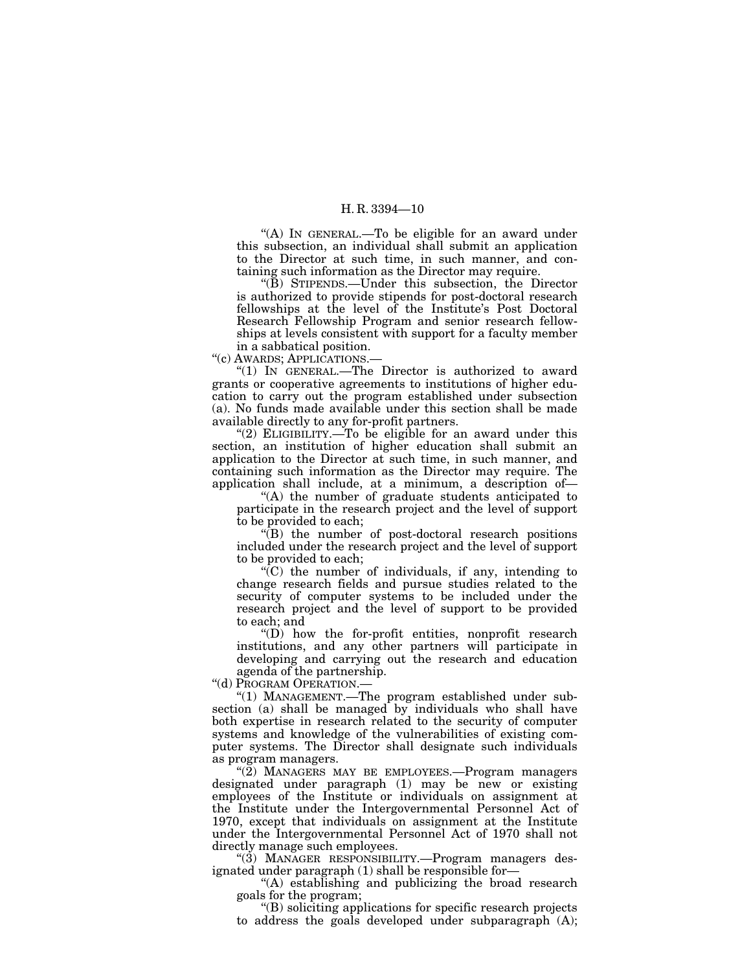"(A) IN GENERAL.—To be eligible for an award under this subsection, an individual shall submit an application to the Director at such time, in such manner, and containing such information as the Director may require.

''(B) STIPENDS.—Under this subsection, the Director is authorized to provide stipends for post-doctoral research fellowships at the level of the Institute's Post Doctoral Research Fellowship Program and senior research fellowships at levels consistent with support for a faculty member in a sabbatical position.

''(c) AWARDS; APPLICATIONS.—

"(1) IN GENERAL.—The Director is authorized to award grants or cooperative agreements to institutions of higher education to carry out the program established under subsection (a). No funds made available under this section shall be made available directly to any for-profit partners.

 $(2)$  ELIGIBILITY.—To be eligible for an award under this section, an institution of higher education shall submit an application to the Director at such time, in such manner, and containing such information as the Director may require. The application shall include, at a minimum, a description of—

''(A) the number of graduate students anticipated to participate in the research project and the level of support to be provided to each;

 $\sqrt{\text{B}}$  the number of post-doctoral research positions included under the research project and the level of support to be provided to each;

 $\sqrt{\text{C}}$  the number of individuals, if any, intending to change research fields and pursue studies related to the security of computer systems to be included under the research project and the level of support to be provided to each; and

 $''(D)$  how the for-profit entities, nonprofit research institutions, and any other partners will participate in developing and carrying out the research and education agenda of the partnership.

''(d) PROGRAM OPERATION.—

''(1) MANAGEMENT.—The program established under subsection (a) shall be managed by individuals who shall have both expertise in research related to the security of computer systems and knowledge of the vulnerabilities of existing computer systems. The Director shall designate such individuals as program managers.

''(2) MANAGERS MAY BE EMPLOYEES.—Program managers designated under paragraph (1) may be new or existing employees of the Institute or individuals on assignment at the Institute under the Intergovernmental Personnel Act of 1970, except that individuals on assignment at the Institute under the Intergovernmental Personnel Act of 1970 shall not directly manage such employees.

"(3) MANAGER RESPONSIBILITY.—Program managers designated under paragraph (1) shall be responsible for—

''(A) establishing and publicizing the broad research goals for the program;

''(B) soliciting applications for specific research projects to address the goals developed under subparagraph (A);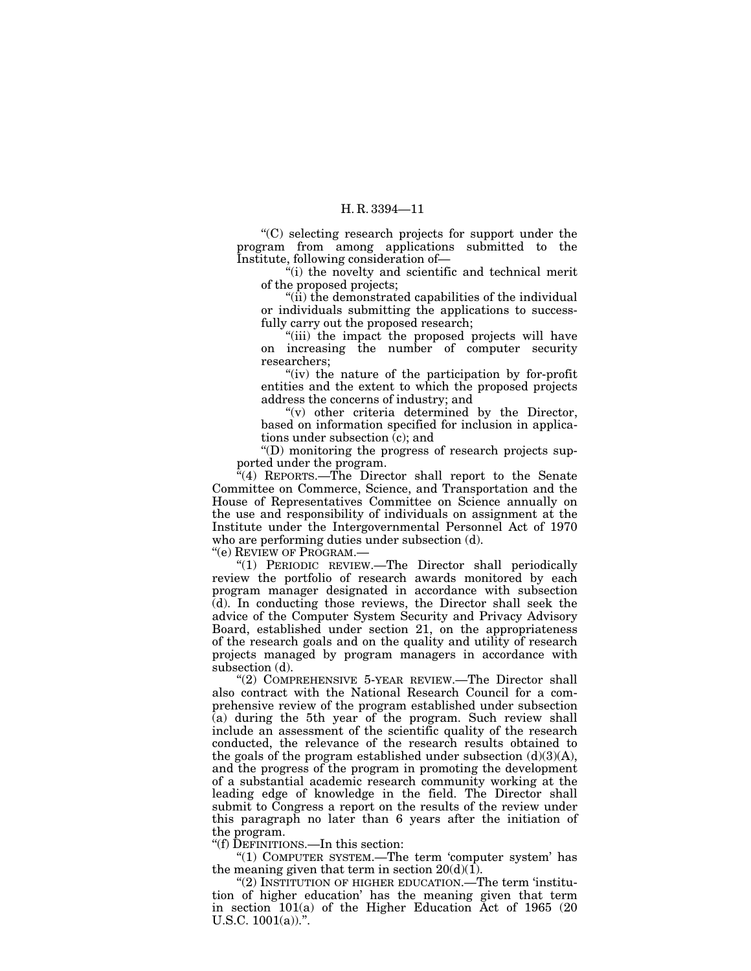''(C) selecting research projects for support under the program from among applications submitted to the Institute, following consideration of—

''(i) the novelty and scientific and technical merit of the proposed projects;

" $(i)$  the demonstrated capabilities of the individual or individuals submitting the applications to successfully carry out the proposed research;

"(iii) the impact the proposed projects will have on increasing the number of computer security researchers;

"(iv) the nature of the participation by for-profit entities and the extent to which the proposed projects address the concerns of industry; and

 $''(v)$  other criteria determined by the Director, based on information specified for inclusion in applications under subsection (c); and

''(D) monitoring the progress of research projects supported under the program.

 $\sqrt{4}$ (4) REPORTS.—The Director shall report to the Senate Committee on Commerce, Science, and Transportation and the House of Representatives Committee on Science annually on the use and responsibility of individuals on assignment at the Institute under the Intergovernmental Personnel Act of 1970 who are performing duties under subsection (d).

''(e) REVIEW OF PROGRAM.—

''(1) PERIODIC REVIEW.—The Director shall periodically review the portfolio of research awards monitored by each program manager designated in accordance with subsection (d). In conducting those reviews, the Director shall seek the advice of the Computer System Security and Privacy Advisory Board, established under section 21, on the appropriateness of the research goals and on the quality and utility of research projects managed by program managers in accordance with subsection (d).

"(2) COMPREHENSIVE 5-YEAR REVIEW.—The Director shall also contract with the National Research Council for a comprehensive review of the program established under subsection (a) during the 5th year of the program. Such review shall include an assessment of the scientific quality of the research conducted, the relevance of the research results obtained to the goals of the program established under subsection  $(d)(3)(A)$ , and the progress of the program in promoting the development of a substantial academic research community working at the leading edge of knowledge in the field. The Director shall submit to Congress a report on the results of the review under this paragraph no later than 6 years after the initiation of the program.

''(f) DEFINITIONS.—In this section:

"(1) COMPUTER SYSTEM.—The term 'computer system' has the meaning given that term in section  $20(d)(1)$ .

"(2) INSTITUTION OF HIGHER EDUCATION.—The term 'institution of higher education' has the meaning given that term in section 101(a) of the Higher Education Act of 1965 (20 U.S.C.  $1001(a)$ .".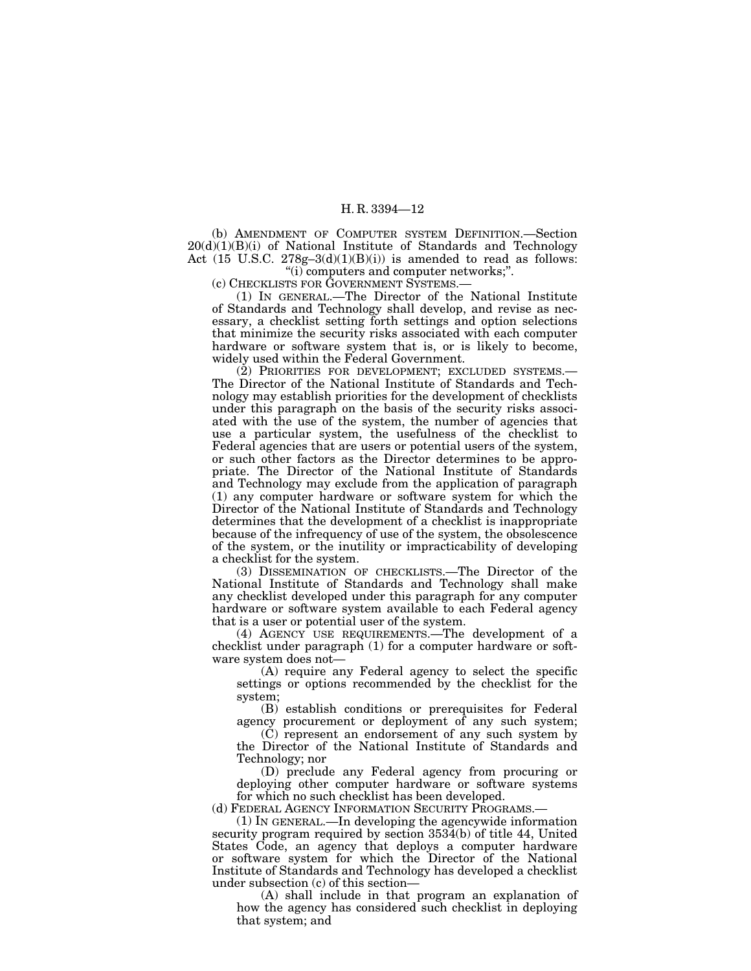(b) AMENDMENT OF COMPUTER SYSTEM DEFINITION.—Section 20(d)(1)(B)(i) of National Institute of Standards and Technology Act  $(15 \text{ U.S.C. } 278g-3(d)(1)(B)(i))$  is amended to read as follows:

''(i) computers and computer networks;''.

(c) CHECKLISTS FOR GOVERNMENT SYSTEMS.—

(1) IN GENERAL.—The Director of the National Institute of Standards and Technology shall develop, and revise as necessary, a checklist setting forth settings and option selections that minimize the security risks associated with each computer hardware or software system that is, or is likely to become, widely used within the Federal Government.

(2) PRIORITIES FOR DEVELOPMENT; EXCLUDED SYSTEMS.— The Director of the National Institute of Standards and Technology may establish priorities for the development of checklists under this paragraph on the basis of the security risks associated with the use of the system, the number of agencies that use a particular system, the usefulness of the checklist to Federal agencies that are users or potential users of the system, or such other factors as the Director determines to be appropriate. The Director of the National Institute of Standards and Technology may exclude from the application of paragraph (1) any computer hardware or software system for which the Director of the National Institute of Standards and Technology determines that the development of a checklist is inappropriate because of the infrequency of use of the system, the obsolescence of the system, or the inutility or impracticability of developing a checklist for the system.

(3) DISSEMINATION OF CHECKLISTS.—The Director of the National Institute of Standards and Technology shall make any checklist developed under this paragraph for any computer hardware or software system available to each Federal agency that is a user or potential user of the system.

(4) AGENCY USE REQUIREMENTS.—The development of a checklist under paragraph (1) for a computer hardware or software system does not—

(A) require any Federal agency to select the specific settings or options recommended by the checklist for the system;

(B) establish conditions or prerequisites for Federal agency procurement or deployment of any such system;

(C) represent an endorsement of any such system by the Director of the National Institute of Standards and Technology; nor

(D) preclude any Federal agency from procuring or deploying other computer hardware or software systems for which no such checklist has been developed.

(d) FEDERAL AGENCY INFORMATION SECURITY PROGRAMS.—

(1) IN GENERAL.—In developing the agencywide information security program required by section 3534(b) of title 44, United States Code, an agency that deploys a computer hardware or software system for which the Director of the National Institute of Standards and Technology has developed a checklist under subsection (c) of this section—

(A) shall include in that program an explanation of how the agency has considered such checklist in deploying that system; and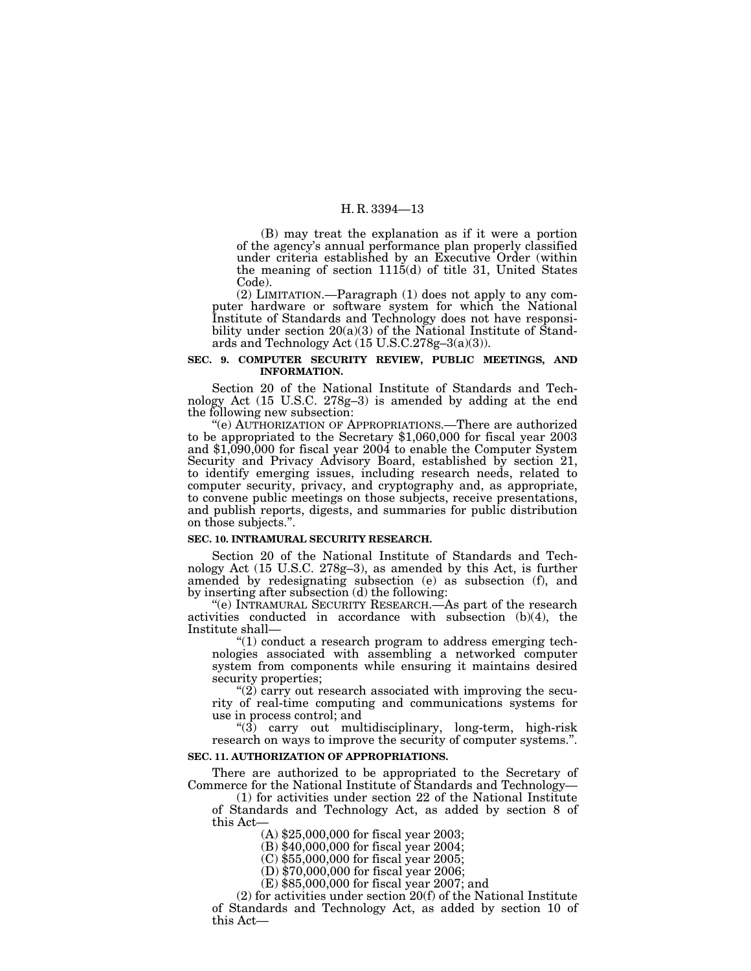(B) may treat the explanation as if it were a portion of the agency's annual performance plan properly classified under criteria established by an Executive Order (within the meaning of section  $1115(d)$  of title 31, United States Code).

(2) LIMITATION.—Paragraph (1) does not apply to any computer hardware or software system for which the National Institute of Standards and Technology does not have responsibility under section 20(a)(3) of the National Institute of Standards and Technology Act (15 U.S.C.278g–3(a)(3)).

#### **SEC. 9. COMPUTER SECURITY REVIEW, PUBLIC MEETINGS, AND INFORMATION.**

Section 20 of the National Institute of Standards and Technology Act (15 U.S.C. 278g–3) is amended by adding at the end the following new subsection: ''(e) AUTHORIZATION OF APPROPRIATIONS.—There are authorized

to be appropriated to the Secretary \$1,060,000 for fiscal year 2003 and \$1,090,000 for fiscal year 2004 to enable the Computer System Security and Privacy Advisory Board, established by section 21, to identify emerging issues, including research needs, related to computer security, privacy, and cryptography and, as appropriate, to convene public meetings on those subjects, receive presentations, and publish reports, digests, and summaries for public distribution on those subjects.''.

#### **SEC. 10. INTRAMURAL SECURITY RESEARCH.**

Section 20 of the National Institute of Standards and Technology Act (15 U.S.C. 278g–3), as amended by this Act, is further amended by redesignating subsection (e) as subsection (f), and by inserting after subsection (d) the following:

"(e) INTRAMURAL SECURITY RESEARCH.—As part of the research activities conducted in accordance with subsection (b)(4), the

 $f(1)$  conduct a research program to address emerging technologies associated with assembling a networked computer system from components while ensuring it maintains desired

" $(2)$  carry out research associated with improving the security of real-time computing and communications systems for

" $(3)$  carry out multidisciplinary, long-term, high-risk research on ways to improve the security of computer systems.''.

#### **SEC. 11. AUTHORIZATION OF APPROPRIATIONS.**

There are authorized to be appropriated to the Secretary of Commerce for the National Institute of Standards and Technology—

(1) for activities under section 22 of the National Institute of Standards and Technology Act, as added by section 8 of this Act—

(A) \$25,000,000 for fiscal year 2003;

(B) \$40,000,000 for fiscal year 2004;

(C) \$55,000,000 for fiscal year 2005;

(D) \$70,000,000 for fiscal year 2006;

(E) \$85,000,000 for fiscal year 2007; and

(2) for activities under section 20(f) of the National Institute of Standards and Technology Act, as added by section 10 of this Act—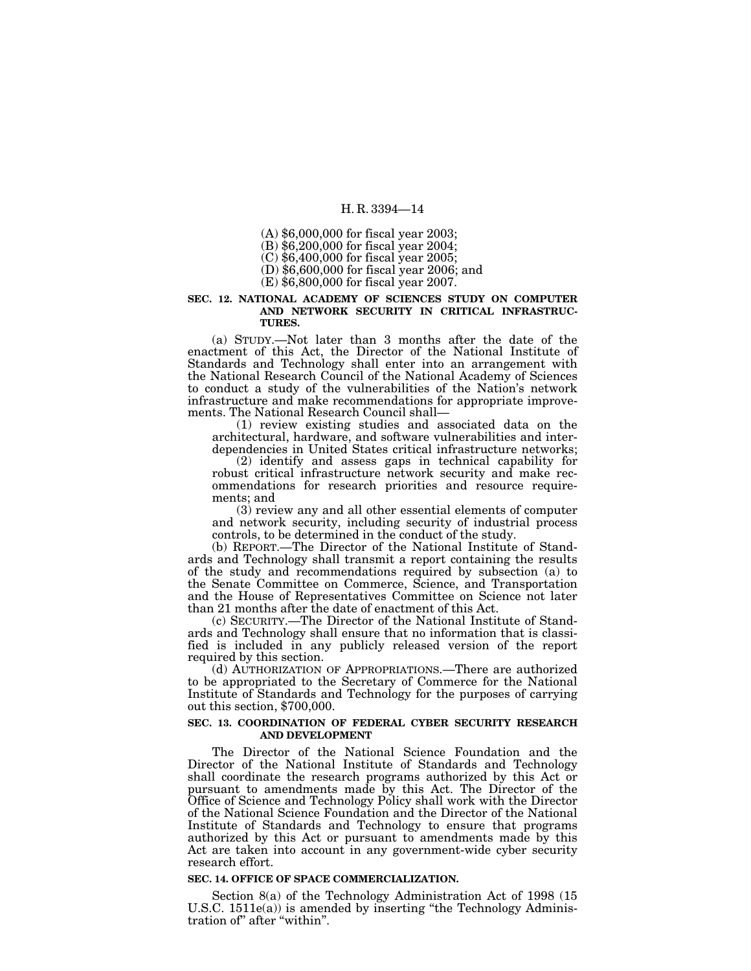(A) \$6,000,000 for fiscal year 2003; (B) \$6,200,000 for fiscal year 2004;

(C) \$6,400,000 for fiscal year 2005;

(D) \$6,600,000 for fiscal year 2006; and

(E) \$6,800,000 for fiscal year 2007.

#### **SEC. 12. NATIONAL ACADEMY OF SCIENCES STUDY ON COMPUTER AND NETWORK SECURITY IN CRITICAL INFRASTRUC-TURES.**

(a) STUDY.—Not later than 3 months after the date of the enactment of this Act, the Director of the National Institute of Standards and Technology shall enter into an arrangement with the National Research Council of the National Academy of Sciences to conduct a study of the vulnerabilities of the Nation's network infrastructure and make recommendations for appropriate improve-

 $(1)$  review existing studies and associated data on the architectural, hardware, and software vulnerabilities and interdependencies in United States critical infrastructure networks;

(2) identify and assess gaps in technical capability for robust critical infrastructure network security and make recommendations for research priorities and resource requirements; and

(3) review any and all other essential elements of computer and network security, including security of industrial process controls, to be determined in the conduct of the study.

(b) REPORT.—The Director of the National Institute of Standards and Technology shall transmit a report containing the results of the study and recommendations required by subsection (a) to the Senate Committee on Commerce, Science, and Transportation and the House of Representatives Committee on Science not later than 21 months after the date of enactment of this Act.

(c) SECURITY.—The Director of the National Institute of Standards and Technology shall ensure that no information that is classified is included in any publicly released version of the report required by this section.

(d) AUTHORIZATION OF APPROPRIATIONS.—There are authorized to be appropriated to the Secretary of Commerce for the National Institute of Standards and Technology for the purposes of carrying out this section, \$700,000.

#### **SEC. 13. COORDINATION OF FEDERAL CYBER SECURITY RESEARCH AND DEVELOPMENT**

The Director of the National Science Foundation and the Director of the National Institute of Standards and Technology shall coordinate the research programs authorized by this Act or pursuant to amendments made by this Act. The Director of the Office of Science and Technology Policy shall work with the Director of the National Science Foundation and the Director of the National Institute of Standards and Technology to ensure that programs authorized by this Act or pursuant to amendments made by this Act are taken into account in any government-wide cyber security research effort.

#### **SEC. 14. OFFICE OF SPACE COMMERCIALIZATION.**

Section 8(a) of the Technology Administration Act of 1998 (15 U.S.C. 1511e(a)) is amended by inserting "the Technology Administration of'' after ''within''.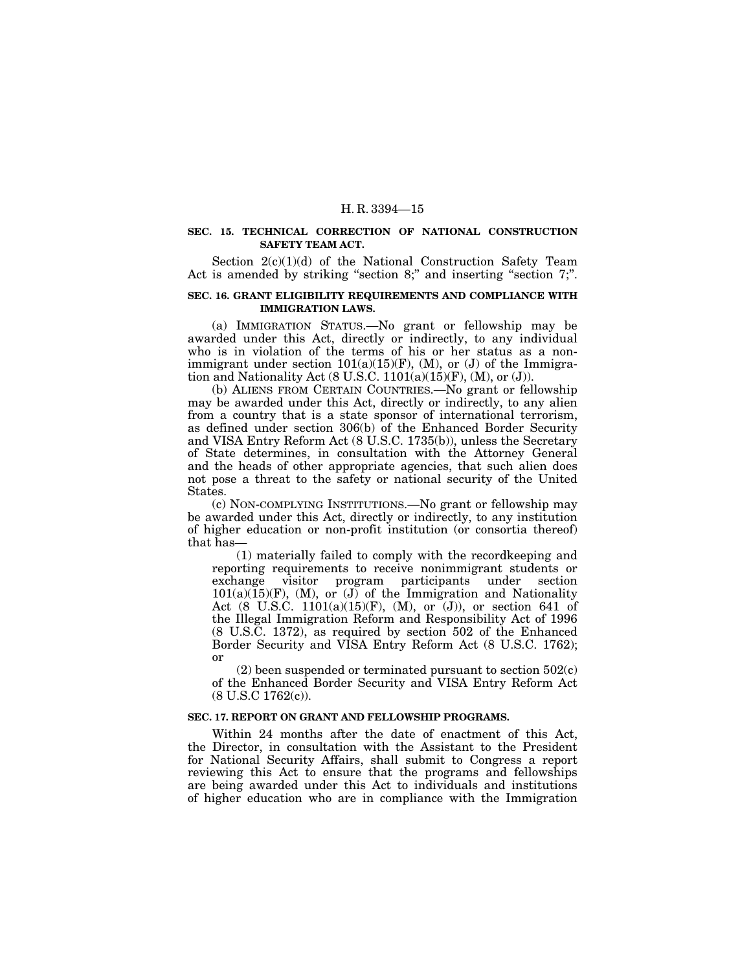#### **SEC. 15. TECHNICAL CORRECTION OF NATIONAL CONSTRUCTION SAFETY TEAM ACT.**

Section 2(c)(1)(d) of the National Construction Safety Team Act is amended by striking "section 8;" and inserting "section 7;".

#### **SEC. 16. GRANT ELIGIBILITY REQUIREMENTS AND COMPLIANCE WITH IMMIGRATION LAWS.**

(a) IMMIGRATION STATUS.—No grant or fellowship may be awarded under this Act, directly or indirectly, to any individual who is in violation of the terms of his or her status as a nonimmigrant under section  $101(a)(15)(F)$ , (M), or (J) of the Immigration and Nationality Act  $(8 \text{ U.S.C. } 1101(a)(15)(\text{F}), (\text{M}), \text{or } (\text{J})).$ 

(b) ALIENS FROM CERTAIN COUNTRIES.—No grant or fellowship may be awarded under this Act, directly or indirectly, to any alien from a country that is a state sponsor of international terrorism, as defined under section 306(b) of the Enhanced Border Security and VISA Entry Reform Act (8 U.S.C. 1735(b)), unless the Secretary of State determines, in consultation with the Attorney General and the heads of other appropriate agencies, that such alien does not pose a threat to the safety or national security of the United States.

(c) NON-COMPLYING INSTITUTIONS.—No grant or fellowship may be awarded under this Act, directly or indirectly, to any institution of higher education or non-profit institution (or consortia thereof) that has—

(1) materially failed to comply with the recordkeeping and reporting requirements to receive nonimmigrant students or exchange visitor program participants under section  $101(a)(15)(F)$ , (M), or (J) of the Immigration and Nationality Act (8 U.S.C. 1101(a)(15)(F), (M), or  $(J)$ ), or section 641 of the Illegal Immigration Reform and Responsibility Act of 1996 (8 U.S.C. 1372), as required by section 502 of the Enhanced Border Security and VISA Entry Reform Act (8 U.S.C. 1762); or

 $(2)$  been suspended or terminated pursuant to section  $502(c)$ of the Enhanced Border Security and VISA Entry Reform Act (8 U.S.C 1762(c)).

#### **SEC. 17. REPORT ON GRANT AND FELLOWSHIP PROGRAMS.**

Within 24 months after the date of enactment of this Act, the Director, in consultation with the Assistant to the President for National Security Affairs, shall submit to Congress a report reviewing this Act to ensure that the programs and fellowships are being awarded under this Act to individuals and institutions of higher education who are in compliance with the Immigration